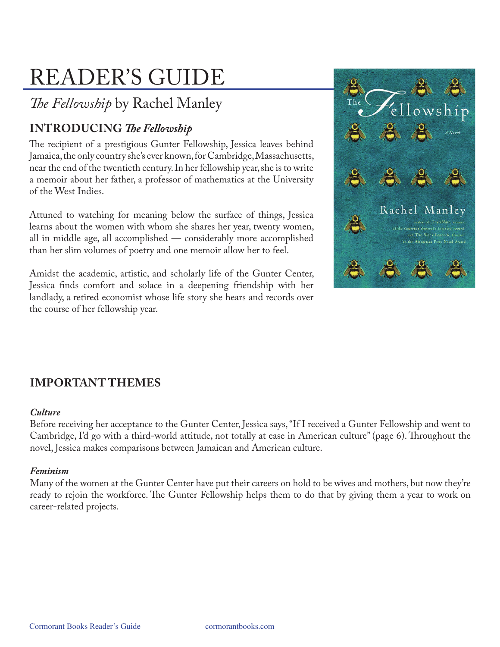# READER'S GUIDE

## *The Fellowship* by Rachel Manley

## **INTRODUCING** *The Fellowship*

The recipient of a prestigious Gunter Fellowship, Jessica leaves behind Jamaica, the only country she's ever known, for Cambridge, Massachusetts, near the end of the twentieth century. In her fellowship year, she is to write a memoir about her father, a professor of mathematics at the University of the West Indies.

Attuned to watching for meaning below the surface of things, Jessica learns about the women with whom she shares her year, twenty women, all in middle age, all accomplished — considerably more accomplished than her slim volumes of poetry and one memoir allow her to feel.

Amidst the academic, artistic, and scholarly life of the Gunter Center, Jessica finds comfort and solace in a deepening friendship with her landlady, a retired economist whose life story she hears and records over the course of her fellowship year.



## **IMPORTANT THEMES**

#### *Culture*

Before receiving her acceptance to the Gunter Center, Jessica says, "If I received a Gunter Fellowship and went to Cambridge, I'd go with a third-world attitude, not totally at ease in American culture" (page 6). Throughout the novel, Jessica makes comparisons between Jamaican and American culture.

#### *Feminism*

Many of the women at the Gunter Center have put their careers on hold to be wives and mothers, but now they're ready to rejoin the workforce. The Gunter Fellowship helps them to do that by giving them a year to work on career-related projects.